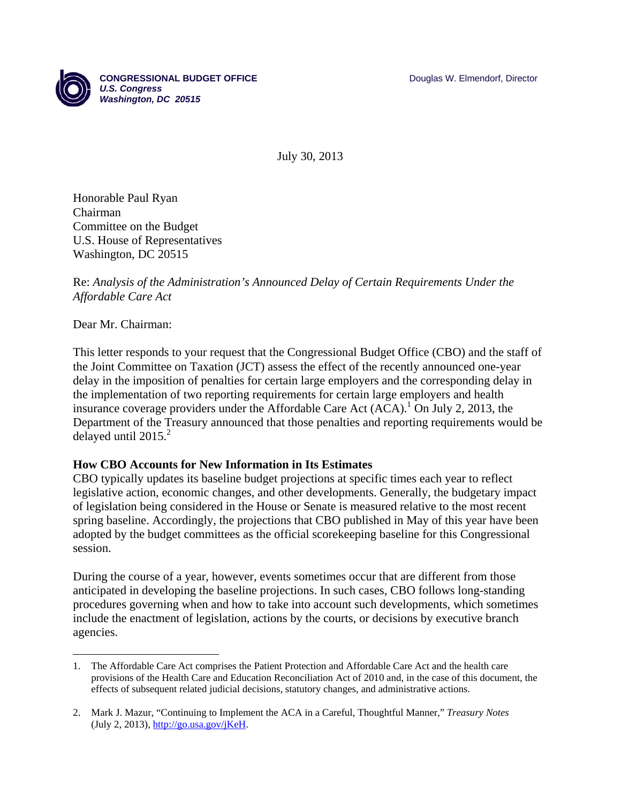

July 30, 2013

Honorable Paul Ryan Chairman Committee on the Budget U.S. House of Representatives Washington, DC 20515

## Re: *Analysis of the Administration's Announced Delay of Certain Requirements Under the Affordable Care Act*

## Dear Mr. Chairman:

1

This letter responds to your request that the Congressional Budget Office (CBO) and the staff of the Joint Committee on Taxation (JCT) assess the effect of the recently announced one-year delay in the imposition of penalties for certain large employers and the corresponding delay in the implementation of two reporting requirements for certain large employers and health insurance coverage providers under the Affordable Care Act  $(ACA)^1$ . On July 2, 2013, the Department of the Treasury announced that those penalties and reporting requirements would be delayed until  $2015.<sup>2</sup>$ 

## **How CBO Accounts for New Information in Its Estimates**

CBO typically updates its baseline budget projections at specific times each year to reflect legislative action, economic changes, and other developments. Generally, the budgetary impact of legislation being considered in the House or Senate is measured relative to the most recent spring baseline. Accordingly, the projections that CBO published in May of this year have been adopted by the budget committees as the official scorekeeping baseline for this Congressional session.

During the course of a year, however, events sometimes occur that are different from those anticipated in developing the baseline projections. In such cases, CBO follows long-standing procedures governing when and how to take into account such developments, which sometimes include the enactment of legislation, actions by the courts, or decisions by executive branch agencies.

<sup>1.</sup> The Affordable Care Act comprises the Patient Protection and Affordable Care Act and the health care provisions of the Health Care and Education Reconciliation Act of 2010 and, in the case of this document, the effects of subsequent related judicial decisions, statutory changes, and administrative actions.

<sup>2.</sup> Mark J. Mazur, "Continuing to Implement the ACA in a Careful, Thoughtful Manner," *Treasury Notes* (July 2, 2013),  $\frac{http://go.usa.gov/jKeH}{http://go.usa.gov/jKeH}.$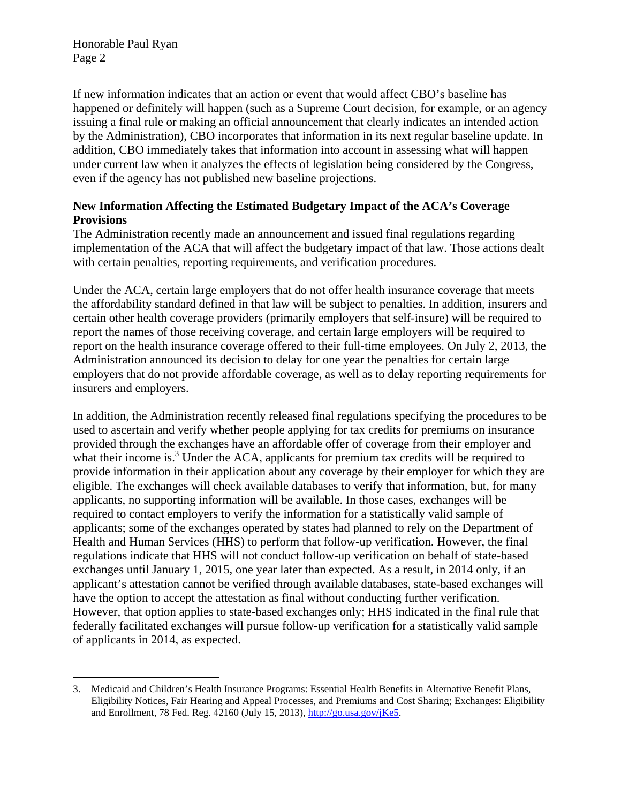$\overline{a}$ 

If new information indicates that an action or event that would affect CBO's baseline has happened or definitely will happen (such as a Supreme Court decision, for example, or an agency issuing a final rule or making an official announcement that clearly indicates an intended action by the Administration), CBO incorporates that information in its next regular baseline update. In addition, CBO immediately takes that information into account in assessing what will happen under current law when it analyzes the effects of legislation being considered by the Congress, even if the agency has not published new baseline projections.

# **New Information Affecting the Estimated Budgetary Impact of the ACA's Coverage Provisions**

The Administration recently made an announcement and issued final regulations regarding implementation of the ACA that will affect the budgetary impact of that law. Those actions dealt with certain penalties, reporting requirements, and verification procedures.

Under the ACA, certain large employers that do not offer health insurance coverage that meets the affordability standard defined in that law will be subject to penalties. In addition, insurers and certain other health coverage providers (primarily employers that self-insure) will be required to report the names of those receiving coverage, and certain large employers will be required to report on the health insurance coverage offered to their full-time employees. On July 2, 2013, the Administration announced its decision to delay for one year the penalties for certain large employers that do not provide affordable coverage, as well as to delay reporting requirements for insurers and employers.

In addition, the Administration recently released final regulations specifying the procedures to be used to ascertain and verify whether people applying for tax credits for premiums on insurance provided through the exchanges have an affordable offer of coverage from their employer and what their income is.<sup>3</sup> Under the ACA, applicants for premium tax credits will be required to provide information in their application about any coverage by their employer for which they are eligible. The exchanges will check available databases to verify that information, but, for many applicants, no supporting information will be available. In those cases, exchanges will be required to contact employers to verify the information for a statistically valid sample of applicants; some of the exchanges operated by states had planned to rely on the Department of Health and Human Services (HHS) to perform that follow-up verification. However, the final regulations indicate that HHS will not conduct follow-up verification on behalf of state-based exchanges until January 1, 2015, one year later than expected. As a result, in 2014 only, if an applicant's attestation cannot be verified through available databases, state-based exchanges will have the option to accept the attestation as final without conducting further verification. However, that option applies to state-based exchanges only; HHS indicated in the final rule that federally facilitated exchanges will pursue follow-up verification for a statistically valid sample of applicants in 2014, as expected.

<sup>3.</sup> Medicaid and Children's Health Insurance Programs: Essential Health Benefits in Alternative Benefit Plans, Eligibility Notices, Fair Hearing and Appeal Processes, and Premiums and Cost Sharing; Exchanges: Eligibility and Enrollment, 78 Fed. Reg. 42160 (July 15, 2013), http://go.usa.gov/jKe5.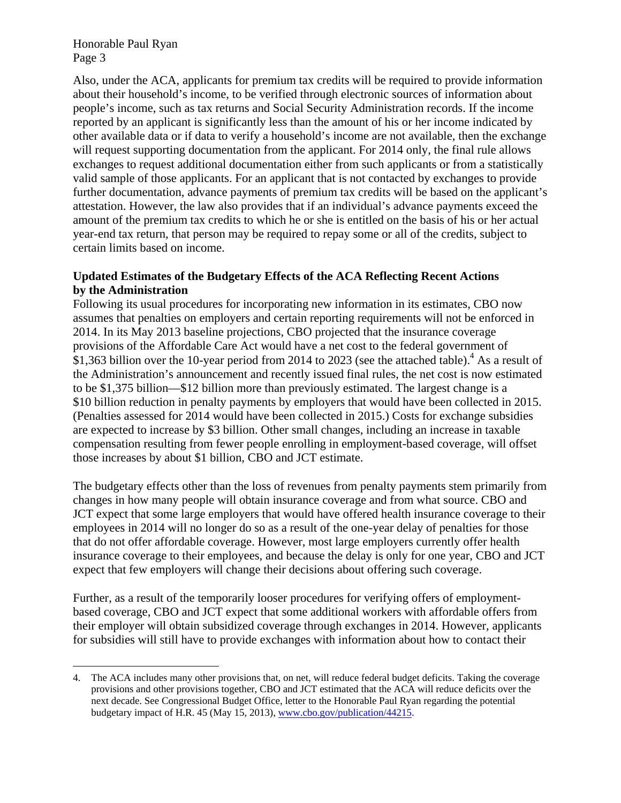Honorable Paul Ryan Page 3

1

Also, under the ACA, applicants for premium tax credits will be required to provide information about their household's income, to be verified through electronic sources of information about people's income, such as tax returns and Social Security Administration records. If the income reported by an applicant is significantly less than the amount of his or her income indicated by other available data or if data to verify a household's income are not available, then the exchange will request supporting documentation from the applicant. For 2014 only, the final rule allows exchanges to request additional documentation either from such applicants or from a statistically valid sample of those applicants. For an applicant that is not contacted by exchanges to provide further documentation, advance payments of premium tax credits will be based on the applicant's attestation. However, the law also provides that if an individual's advance payments exceed the amount of the premium tax credits to which he or she is entitled on the basis of his or her actual year-end tax return, that person may be required to repay some or all of the credits, subject to certain limits based on income.

## **Updated Estimates of the Budgetary Effects of the ACA Reflecting Recent Actions by the Administration**

Following its usual procedures for incorporating new information in its estimates, CBO now assumes that penalties on employers and certain reporting requirements will not be enforced in 2014. In its May 2013 baseline projections, CBO projected that the insurance coverage provisions of the Affordable Care Act would have a net cost to the federal government of \$1,363 billion over the 10-year period from 2014 to 2023 (see the attached table).<sup>4</sup> As a result of the Administration's announcement and recently issued final rules, the net cost is now estimated to be \$1,375 billion—\$12 billion more than previously estimated. The largest change is a \$10 billion reduction in penalty payments by employers that would have been collected in 2015. (Penalties assessed for 2014 would have been collected in 2015.) Costs for exchange subsidies are expected to increase by \$3 billion. Other small changes, including an increase in taxable compensation resulting from fewer people enrolling in employment-based coverage, will offset those increases by about \$1 billion, CBO and JCT estimate.

The budgetary effects other than the loss of revenues from penalty payments stem primarily from changes in how many people will obtain insurance coverage and from what source. CBO and JCT expect that some large employers that would have offered health insurance coverage to their employees in 2014 will no longer do so as a result of the one-year delay of penalties for those that do not offer affordable coverage. However, most large employers currently offer health insurance coverage to their employees, and because the delay is only for one year, CBO and JCT expect that few employers will change their decisions about offering such coverage.

Further, as a result of the temporarily looser procedures for verifying offers of employmentbased coverage, CBO and JCT expect that some additional workers with affordable offers from their employer will obtain subsidized coverage through exchanges in 2014. However, applicants for subsidies will still have to provide exchanges with information about how to contact their

<sup>4.</sup> The ACA includes many other provisions that, on net, will reduce federal budget deficits. Taking the coverage provisions and other provisions together, CBO and JCT estimated that the ACA will reduce deficits over the next decade. See Congressional Budget Office, letter to the Honorable Paul Ryan regarding the potential budgetary impact of H.R. 45 (May 15, 2013), www.cbo.gov/publication/44215.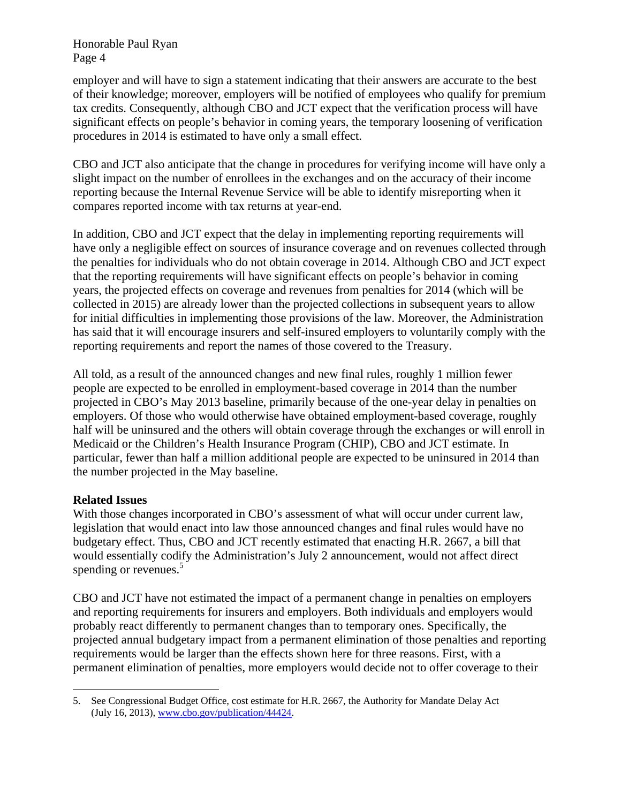Honorable Paul Ryan Page 4

employer and will have to sign a statement indicating that their answers are accurate to the best of their knowledge; moreover, employers will be notified of employees who qualify for premium tax credits. Consequently, although CBO and JCT expect that the verification process will have significant effects on people's behavior in coming years, the temporary loosening of verification procedures in 2014 is estimated to have only a small effect.

CBO and JCT also anticipate that the change in procedures for verifying income will have only a slight impact on the number of enrollees in the exchanges and on the accuracy of their income reporting because the Internal Revenue Service will be able to identify misreporting when it compares reported income with tax returns at year-end.

In addition, CBO and JCT expect that the delay in implementing reporting requirements will have only a negligible effect on sources of insurance coverage and on revenues collected through the penalties for individuals who do not obtain coverage in 2014. Although CBO and JCT expect that the reporting requirements will have significant effects on people's behavior in coming years, the projected effects on coverage and revenues from penalties for 2014 (which will be collected in 2015) are already lower than the projected collections in subsequent years to allow for initial difficulties in implementing those provisions of the law. Moreover, the Administration has said that it will encourage insurers and self-insured employers to voluntarily comply with the reporting requirements and report the names of those covered to the Treasury.

All told, as a result of the announced changes and new final rules, roughly 1 million fewer people are expected to be enrolled in employment-based coverage in 2014 than the number projected in CBO's May 2013 baseline, primarily because of the one-year delay in penalties on employers. Of those who would otherwise have obtained employment-based coverage, roughly half will be uninsured and the others will obtain coverage through the exchanges or will enroll in Medicaid or the Children's Health Insurance Program (CHIP), CBO and JCT estimate. In particular, fewer than half a million additional people are expected to be uninsured in 2014 than the number projected in the May baseline.

# **Related Issues**

With those changes incorporated in CBO's assessment of what will occur under current law, legislation that would enact into law those announced changes and final rules would have no budgetary effect. Thus, CBO and JCT recently estimated that enacting H.R. 2667, a bill that would essentially codify the Administration's July 2 announcement, would not affect direct spending or revenues.<sup>5</sup>

CBO and JCT have not estimated the impact of a permanent change in penalties on employers and reporting requirements for insurers and employers. Both individuals and employers would probably react differently to permanent changes than to temporary ones. Specifically, the projected annual budgetary impact from a permanent elimination of those penalties and reporting requirements would be larger than the effects shown here for three reasons. First, with a permanent elimination of penalties, more employers would decide not to offer coverage to their

<sup>1</sup> 5. See Congressional Budget Office, cost estimate for H.R. 2667, the Authority for Mandate Delay Act (July 16, 2013), www.cbo.gov/publication/44424.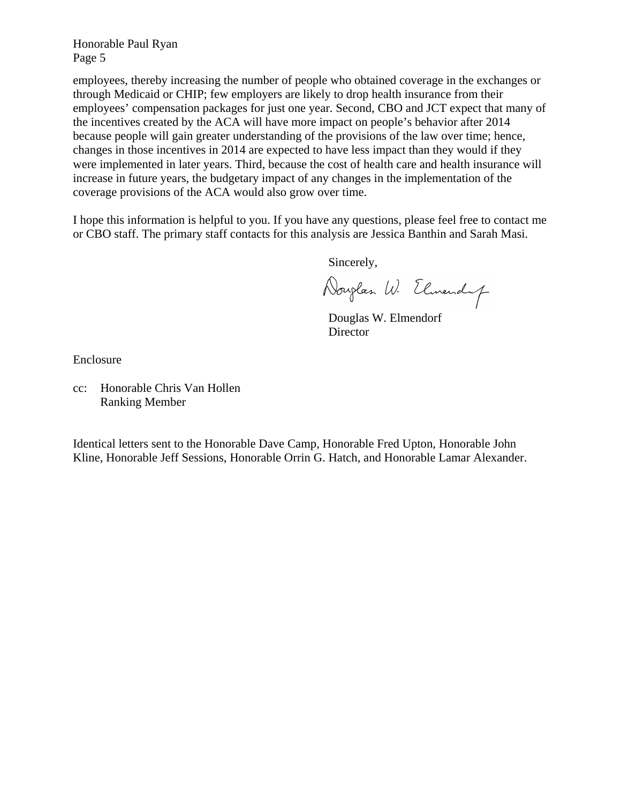Honorable Paul Ryan Page 5

employees, thereby increasing the number of people who obtained coverage in the exchanges or through Medicaid or CHIP; few employers are likely to drop health insurance from their employees' compensation packages for just one year. Second, CBO and JCT expect that many of the incentives created by the ACA will have more impact on people's behavior after 2014 because people will gain greater understanding of the provisions of the law over time; hence, changes in those incentives in 2014 are expected to have less impact than they would if they were implemented in later years. Third, because the cost of health care and health insurance will increase in future years, the budgetary impact of any changes in the implementation of the coverage provisions of the ACA would also grow over time.

I hope this information is helpful to you. If you have any questions, please feel free to contact me or CBO staff. The primary staff contacts for this analysis are Jessica Banthin and Sarah Masi.

Sincerely,

Douglas W. Elmendy

 Douglas W. Elmendorf Director

Enclosure

cc: Honorable Chris Van Hollen Ranking Member

Identical letters sent to the Honorable Dave Camp, Honorable Fred Upton, Honorable John Kline, Honorable Jeff Sessions, Honorable Orrin G. Hatch, and Honorable Lamar Alexander.